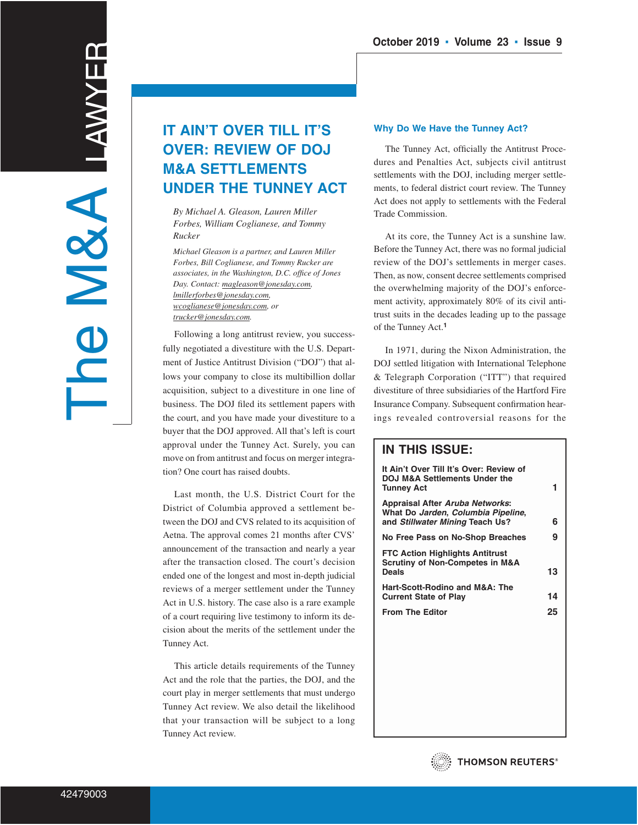# **IT AIN'T OVER TILL IT'S OVER: REVIEW OF DOJ M&A SETTLEMENTS UNDER THE TUNNEY ACT**

*By Michael A. Gleason, Lauren Miller Forbes, William Coglianese, and Tommy Rucker*

*Michael Gleason is a partner, and Lauren Miller Forbes, Bill Coglianese, and Tommy Rucker are associates, in the Washington, D.C. office of Jones Day. Contact: magleason@jonesday.com, lmillerforbes@jonesday.com, wcoglianese@jonesday.com, or trucker@jonesday.com.*

Following a long antitrust review, you successfully negotiated a divestiture with the U.S. Department of Justice Antitrust Division ("DOJ") that allows your company to close its multibillion dollar acquisition, subject to a divestiture in one line of business. The DOJ filed its settlement papers with the court, and you have made your divestiture to a buyer that the DOJ approved. All that's left is court approval under the Tunney Act. Surely, you can move on from antitrust and focus on merger integration? One court has raised doubts.

Last month, the U.S. District Court for the District of Columbia approved a settlement between the DOJ and CVS related to its acquisition of Aetna. The approval comes 21 months after CVS' announcement of the transaction and nearly a year after the transaction closed. The court's decision ended one of the longest and most in-depth judicial reviews of a merger settlement under the Tunney Act in U.S. history. The case also is a rare example of a court requiring live testimony to inform its decision about the merits of the settlement under the Tunney Act.

This article details requirements of the Tunney Act and the role that the parties, the DOJ, and the court play in merger settlements that must undergo Tunney Act review. We also detail the likelihood that your transaction will be subject to a long Tunney Act review.

# **Why Do We Have the Tunney Act?**

The Tunney Act, officially the Antitrust Procedures and Penalties Act, subjects civil antitrust settlements with the DOJ, including merger settlements, to federal district court review. The Tunney Act does not apply to settlements with the Federal Trade Commission.

At its core, the Tunney Act is a sunshine law. Before the Tunney Act, there was no formal judicial review of the DOJ's settlements in merger cases. Then, as now, consent decree settlements comprised the overwhelming majority of the DOJ's enforcement activity, approximately 80% of its civil antitrust suits in the decades leading up to the passage of the Tunney Act.**<sup>1</sup>**

In 1971, during the Nixon Administration, the DOJ settled litigation with International Telephone & Telegraph Corporation ("ITT") that required divestiture of three subsidiaries of the Hartford Fire Insurance Company. Subsequent confirmation hearings revealed controversial reasons for the

# **IN THIS ISSUE:**

| It Ain't Over Till It's Over: Review of<br>DOJ M&A Settlements Under the<br><b>Tunney Act</b>            | 1. |
|----------------------------------------------------------------------------------------------------------|----|
| Appraisal After Aruba Networks:<br>What Do Jarden, Columbia Pipeline,<br>and Stillwater Mining Teach Us? | 6  |
| No Free Pass on No-Shop Breaches                                                                         | 9  |
| <b>FTC Action Highlights Antitrust</b><br><b>Scrutiny of Non-Competes in M&amp;A</b><br>Deals            | 13 |
| Hart-Scott-Rodino and M&A: The<br><b>Current State of Play</b>                                           | 14 |
| <b>From The Editor</b>                                                                                   | 25 |
|                                                                                                          |    |

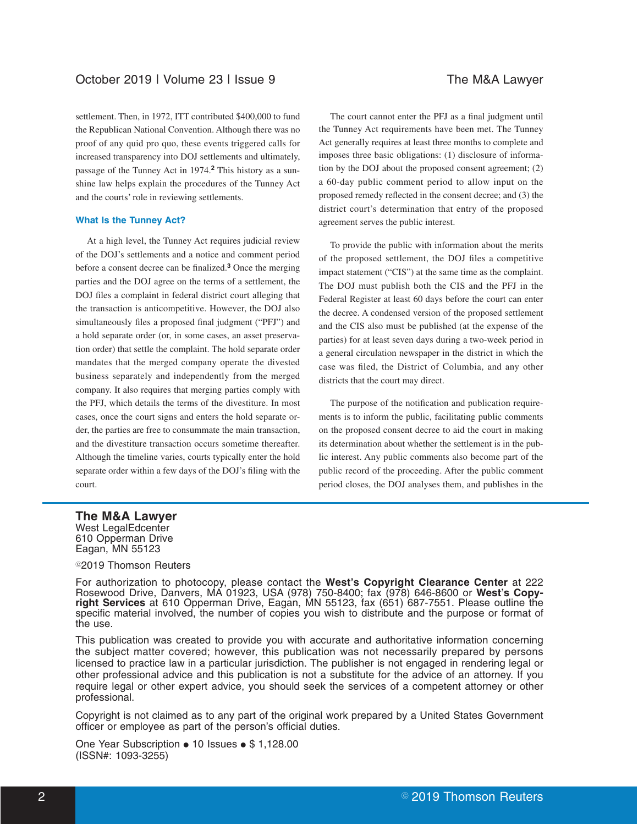settlement. Then, in 1972, ITT contributed \$400,000 to fund the Republican National Convention. Although there was no proof of any quid pro quo, these events triggered calls for increased transparency into DOJ settlements and ultimately, passage of the Tunney Act in 1974.**<sup>2</sup>** This history as a sunshine law helps explain the procedures of the Tunney Act and the courts' role in reviewing settlements.

### **What Is the Tunney Act?**

At a high level, the Tunney Act requires judicial review of the DOJ's settlements and a notice and comment period before a consent decree can be finalized.**<sup>3</sup>** Once the merging parties and the DOJ agree on the terms of a settlement, the DOJ files a complaint in federal district court alleging that the transaction is anticompetitive. However, the DOJ also simultaneously files a proposed final judgment ("PFJ") and a hold separate order (or, in some cases, an asset preservation order) that settle the complaint. The hold separate order mandates that the merged company operate the divested business separately and independently from the merged company. It also requires that merging parties comply with the PFJ, which details the terms of the divestiture. In most cases, once the court signs and enters the hold separate order, the parties are free to consummate the main transaction, and the divestiture transaction occurs sometime thereafter. Although the timeline varies, courts typically enter the hold separate order within a few days of the DOJ's filing with the court.

The court cannot enter the PFJ as a final judgment until the Tunney Act requirements have been met. The Tunney Act generally requires at least three months to complete and imposes three basic obligations: (1) disclosure of information by the DOJ about the proposed consent agreement; (2) a 60-day public comment period to allow input on the proposed remedy reflected in the consent decree; and (3) the district court's determination that entry of the proposed agreement serves the public interest.

To provide the public with information about the merits of the proposed settlement, the DOJ files a competitive impact statement ("CIS") at the same time as the complaint. The DOJ must publish both the CIS and the PFJ in the Federal Register at least 60 days before the court can enter the decree. A condensed version of the proposed settlement and the CIS also must be published (at the expense of the parties) for at least seven days during a two-week period in a general circulation newspaper in the district in which the case was filed, the District of Columbia, and any other districts that the court may direct.

The purpose of the notification and publication requirements is to inform the public, facilitating public comments on the proposed consent decree to aid the court in making its determination about whether the settlement is in the public interest. Any public comments also become part of the public record of the proceeding. After the public comment period closes, the DOJ analyses them, and publishes in the

# **The M&A Lawyer**

West LegalEdcenter 610 Opperman Drive Eagan, MN 55123

# ©2019 Thomson Reuters

For authorization to photocopy, please contact the **West's Copyright Clearance Center** at 222 Rosewood Drive, Danvers, MA 01923, USA (978) 750-8400; fax (978) 646-8600 or **West's Copyright Services** at 610 Opperman Drive, Eagan, MN 55123, fax (651) 687-7551. Please outline the specific material involved, the number of copies you wish to distribute and the purpose or format of the use.

This publication was created to provide you with accurate and authoritative information concerning the subject matter covered; however, this publication was not necessarily prepared by persons licensed to practice law in a particular jurisdiction. The publisher is not engaged in rendering legal or other professional advice and this publication is not a substitute for the advice of an attorney. If you require legal or other expert advice, you should seek the services of a competent attorney or other professional.

Copyright is not claimed as to any part of the original work prepared by a United States Government officer or employee as part of the person's official duties.

One Year Subscription  $\bullet$  10 Issues  $\bullet$  \$ 1,128.00 (ISSN#: 1093-3255)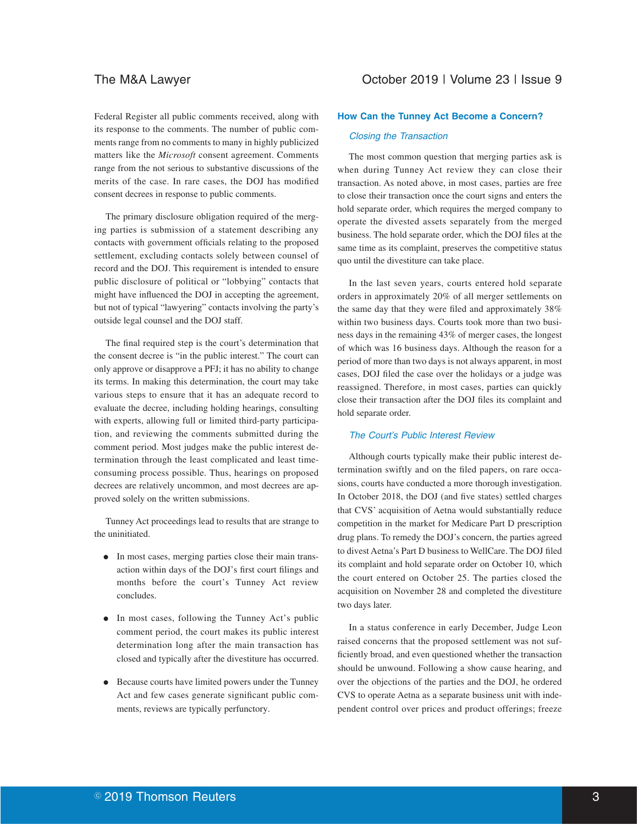Federal Register all public comments received, along with its response to the comments. The number of public comments range from no comments to many in highly publicized matters like the *Microsoft* consent agreement. Comments range from the not serious to substantive discussions of the merits of the case. In rare cases, the DOJ has modified consent decrees in response to public comments.

The primary disclosure obligation required of the merging parties is submission of a statement describing any contacts with government officials relating to the proposed settlement, excluding contacts solely between counsel of record and the DOJ. This requirement is intended to ensure public disclosure of political or "lobbying" contacts that might have influenced the DOJ in accepting the agreement, but not of typical "lawyering" contacts involving the party's outside legal counsel and the DOJ staff.

The final required step is the court's determination that the consent decree is "in the public interest." The court can only approve or disapprove a PFJ; it has no ability to change its terms. In making this determination, the court may take various steps to ensure that it has an adequate record to evaluate the decree, including holding hearings, consulting with experts, allowing full or limited third-party participation, and reviewing the comments submitted during the comment period. Most judges make the public interest determination through the least complicated and least timeconsuming process possible. Thus, hearings on proposed decrees are relatively uncommon, and most decrees are approved solely on the written submissions.

Tunney Act proceedings lead to results that are strange to the uninitiated.

- E In most cases, merging parties close their main transaction within days of the DOJ's first court filings and months before the court's Tunney Act review concludes.
- In most cases, following the Tunney Act's public comment period, the court makes its public interest determination long after the main transaction has closed and typically after the divestiture has occurred.
- Because courts have limited powers under the Tunney Act and few cases generate significant public comments, reviews are typically perfunctory.

# **How Can the Tunney Act Become a Concern?**

### Closing the Transaction

The most common question that merging parties ask is when during Tunney Act review they can close their transaction. As noted above, in most cases, parties are free to close their transaction once the court signs and enters the hold separate order, which requires the merged company to operate the divested assets separately from the merged business. The hold separate order, which the DOJ files at the same time as its complaint, preserves the competitive status quo until the divestiture can take place.

In the last seven years, courts entered hold separate orders in approximately 20% of all merger settlements on the same day that they were filed and approximately 38% within two business days. Courts took more than two business days in the remaining 43% of merger cases, the longest of which was 16 business days. Although the reason for a period of more than two days is not always apparent, in most cases, DOJ filed the case over the holidays or a judge was reassigned. Therefore, in most cases, parties can quickly close their transaction after the DOJ files its complaint and hold separate order.

## The Court's Public Interest Review

Although courts typically make their public interest determination swiftly and on the filed papers, on rare occasions, courts have conducted a more thorough investigation. In October 2018, the DOJ (and five states) settled charges that CVS' acquisition of Aetna would substantially reduce competition in the market for Medicare Part D prescription drug plans. To remedy the DOJ's concern, the parties agreed to divest Aetna's Part D business to WellCare. The DOJ filed its complaint and hold separate order on October 10, which the court entered on October 25. The parties closed the acquisition on November 28 and completed the divestiture two days later.

In a status conference in early December, Judge Leon raised concerns that the proposed settlement was not sufficiently broad, and even questioned whether the transaction should be unwound. Following a show cause hearing, and over the objections of the parties and the DOJ, he ordered CVS to operate Aetna as a separate business unit with independent control over prices and product offerings; freeze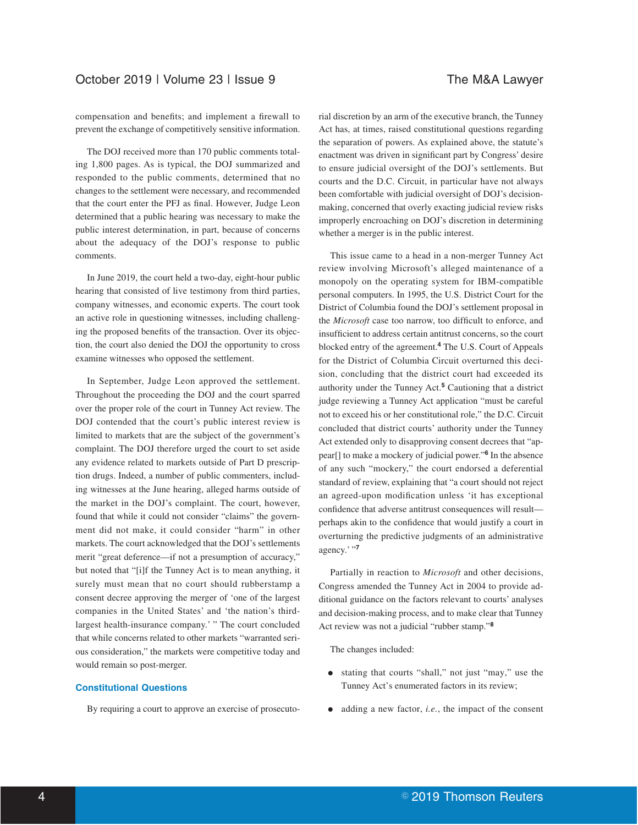compensation and benefits; and implement a firewall to prevent the exchange of competitively sensitive information.

The DOJ received more than 170 public comments totaling 1,800 pages. As is typical, the DOJ summarized and responded to the public comments, determined that no changes to the settlement were necessary, and recommended that the court enter the PFJ as final. However, Judge Leon determined that a public hearing was necessary to make the public interest determination, in part, because of concerns about the adequacy of the DOJ's response to public comments.

In June 2019, the court held a two-day, eight-hour public hearing that consisted of live testimony from third parties, company witnesses, and economic experts. The court took an active role in questioning witnesses, including challenging the proposed benefits of the transaction. Over its objection, the court also denied the DOJ the opportunity to cross examine witnesses who opposed the settlement.

In September, Judge Leon approved the settlement. Throughout the proceeding the DOJ and the court sparred over the proper role of the court in Tunney Act review. The DOJ contended that the court's public interest review is limited to markets that are the subject of the government's complaint. The DOJ therefore urged the court to set aside any evidence related to markets outside of Part D prescription drugs. Indeed, a number of public commenters, including witnesses at the June hearing, alleged harms outside of the market in the DOJ's complaint. The court, however, found that while it could not consider "claims" the government did not make, it could consider "harm" in other markets. The court acknowledged that the DOJ's settlements merit "great deference—if not a presumption of accuracy," but noted that "[i]f the Tunney Act is to mean anything, it surely must mean that no court should rubberstamp a consent decree approving the merger of 'one of the largest companies in the United States' and 'the nation's thirdlargest health-insurance company.' " The court concluded that while concerns related to other markets "warranted serious consideration," the markets were competitive today and would remain so post-merger.

# **Constitutional Questions**

By requiring a court to approve an exercise of prosecuto-

rial discretion by an arm of the executive branch, the Tunney Act has, at times, raised constitutional questions regarding the separation of powers. As explained above, the statute's enactment was driven in significant part by Congress' desire to ensure judicial oversight of the DOJ's settlements. But courts and the D.C. Circuit, in particular have not always been comfortable with judicial oversight of DOJ's decisionmaking, concerned that overly exacting judicial review risks improperly encroaching on DOJ's discretion in determining whether a merger is in the public interest.

This issue came to a head in a non-merger Tunney Act review involving Microsoft's alleged maintenance of a monopoly on the operating system for IBM-compatible personal computers. In 1995, the U.S. District Court for the District of Columbia found the DOJ's settlement proposal in the *Microsoft* case too narrow, too difficult to enforce, and insufficient to address certain antitrust concerns, so the court blocked entry of the agreement.**<sup>4</sup>** The U.S. Court of Appeals for the District of Columbia Circuit overturned this decision, concluding that the district court had exceeded its authority under the Tunney Act.**<sup>5</sup>** Cautioning that a district judge reviewing a Tunney Act application "must be careful not to exceed his or her constitutional role," the D.C. Circuit concluded that district courts' authority under the Tunney Act extended only to disapproving consent decrees that "appear[] to make a mockery of judicial power."**<sup>6</sup>** In the absence of any such "mockery," the court endorsed a deferential standard of review, explaining that "a court should not reject an agreed-upon modification unless 'it has exceptional confidence that adverse antitrust consequences will result perhaps akin to the confidence that would justify a court in overturning the predictive judgments of an administrative agency.' "**<sup>7</sup>**

Partially in reaction to *Microsoft* and other decisions, Congress amended the Tunney Act in 2004 to provide additional guidance on the factors relevant to courts' analyses and decision-making process, and to make clear that Tunney Act review was not a judicial "rubber stamp."**<sup>8</sup>**

The changes included:

- E stating that courts "shall," not just "may," use the Tunney Act's enumerated factors in its review;
- $\bullet$  adding a new factor, *i.e.*, the impact of the consent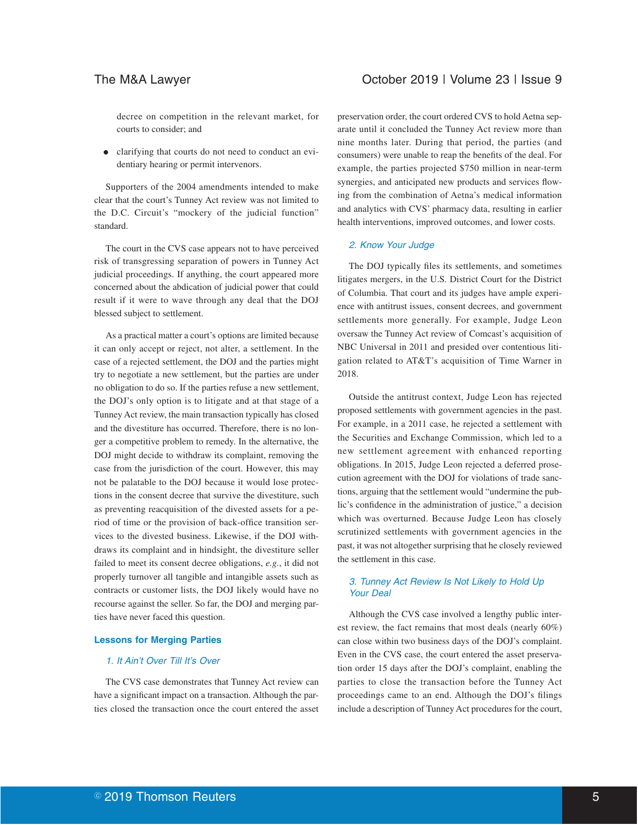decree on competition in the relevant market, for courts to consider; and

E clarifying that courts do not need to conduct an evidentiary hearing or permit intervenors.

Supporters of the 2004 amendments intended to make clear that the court's Tunney Act review was not limited to the D.C. Circuit's "mockery of the judicial function" standard.

The court in the CVS case appears not to have perceived risk of transgressing separation of powers in Tunney Act judicial proceedings. If anything, the court appeared more concerned about the abdication of judicial power that could result if it were to wave through any deal that the DOJ blessed subject to settlement.

As a practical matter a court's options are limited because it can only accept or reject, not alter, a settlement. In the case of a rejected settlement, the DOJ and the parties might try to negotiate a new settlement, but the parties are under no obligation to do so. If the parties refuse a new settlement, the DOJ's only option is to litigate and at that stage of a Tunney Act review, the main transaction typically has closed and the divestiture has occurred. Therefore, there is no longer a competitive problem to remedy. In the alternative, the DOJ might decide to withdraw its complaint, removing the case from the jurisdiction of the court. However, this may not be palatable to the DOJ because it would lose protections in the consent decree that survive the divestiture, such as preventing reacquisition of the divested assets for a period of time or the provision of back-office transition services to the divested business. Likewise, if the DOJ withdraws its complaint and in hindsight, the divestiture seller failed to meet its consent decree obligations, *e.g.*, it did not properly turnover all tangible and intangible assets such as contracts or customer lists, the DOJ likely would have no recourse against the seller. So far, the DOJ and merging parties have never faced this question.

### **Lessons for Merging Parties**

# 1. It Ain't Over Till It's Over

The CVS case demonstrates that Tunney Act review can have a significant impact on a transaction. Although the parties closed the transaction once the court entered the asset

preservation order, the court ordered CVS to hold Aetna separate until it concluded the Tunney Act review more than nine months later. During that period, the parties (and consumers) were unable to reap the benefits of the deal. For example, the parties projected \$750 million in near-term synergies, and anticipated new products and services flowing from the combination of Aetna's medical information and analytics with CVS' pharmacy data, resulting in earlier health interventions, improved outcomes, and lower costs.

# 2. Know Your Judge

The DOJ typically files its settlements, and sometimes litigates mergers, in the U.S. District Court for the District of Columbia. That court and its judges have ample experience with antitrust issues, consent decrees, and government settlements more generally. For example, Judge Leon oversaw the Tunney Act review of Comcast's acquisition of NBC Universal in 2011 and presided over contentious litigation related to AT&T's acquisition of Time Warner in 2018.

Outside the antitrust context, Judge Leon has rejected proposed settlements with government agencies in the past. For example, in a 2011 case, he rejected a settlement with the Securities and Exchange Commission, which led to a new settlement agreement with enhanced reporting obligations. In 2015, Judge Leon rejected a deferred prosecution agreement with the DOJ for violations of trade sanctions, arguing that the settlement would "undermine the public's confidence in the administration of justice," a decision which was overturned. Because Judge Leon has closely scrutinized settlements with government agencies in the past, it was not altogether surprising that he closely reviewed the settlement in this case.

### 3. Tunney Act Review Is Not Likely to Hold Up Your Deal

Although the CVS case involved a lengthy public interest review, the fact remains that most deals (nearly 60%) can close within two business days of the DOJ's complaint. Even in the CVS case, the court entered the asset preservation order 15 days after the DOJ's complaint, enabling the parties to close the transaction before the Tunney Act proceedings came to an end. Although the DOJ's filings include a description of Tunney Act procedures for the court,